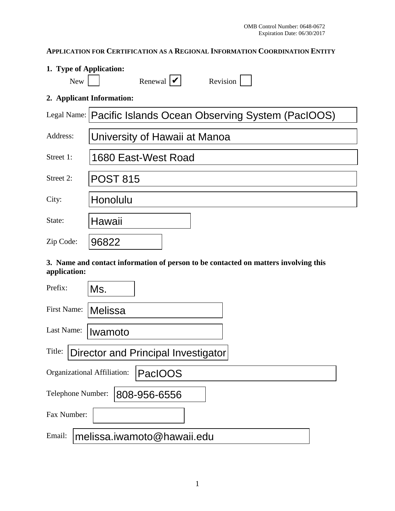# **APPLICATION FOR CERTIFICATION AS A REGIONAL INFORMATION COORDINATION ENTITY**

| 1. Type of Application:                                                                             |                                                                |  |
|-----------------------------------------------------------------------------------------------------|----------------------------------------------------------------|--|
| <b>New</b>                                                                                          | Renewal $ \mathbf{v} $<br>Revision                             |  |
|                                                                                                     | 2. Applicant Information:                                      |  |
|                                                                                                     | Legal Name:   Pacific Islands Ocean Observing System (PacIOOS) |  |
| Address:                                                                                            | University of Hawaii at Manoa                                  |  |
| Street 1:                                                                                           | 1680 East-West Road                                            |  |
| Street 2:                                                                                           | <b>POST 815</b>                                                |  |
| City:                                                                                               | Honolulu                                                       |  |
| State:                                                                                              | Hawaii                                                         |  |
| Zip Code:                                                                                           | 96822                                                          |  |
| 3. Name and contact information of person to be contacted on matters involving this<br>application: |                                                                |  |
| Prefix:                                                                                             | Ms.                                                            |  |
| First Name:                                                                                         | <b>Melissa</b>                                                 |  |
| Last Name:                                                                                          | Iwamoto                                                        |  |
| Title:   Director and Principal Investigator                                                        |                                                                |  |
| Organizational Affiliation:<br><b>PacIOOS</b>                                                       |                                                                |  |
| Telephone Number:<br>808-956-6556                                                                   |                                                                |  |
| Fax Number:                                                                                         |                                                                |  |
| Email:                                                                                              | melissa.iwamoto@hawaii.edu                                     |  |

## **3. Name and contact information of person to be contacted on matters involving this application:**

| Prefix:                                       | Ms.                                 |  |
|-----------------------------------------------|-------------------------------------|--|
| First Name:                                   | <b>Melissa</b>                      |  |
| Last Name:                                    | Iwamoto                             |  |
| Title:                                        | Director and Principal Investigator |  |
| Organizational Affiliation:<br><b>PacIOOS</b> |                                     |  |
| Telephone Number:<br>808-956-6556             |                                     |  |
| Fax Number:                                   |                                     |  |
| Email:                                        | melissa.iwamoto@hawaii.edu          |  |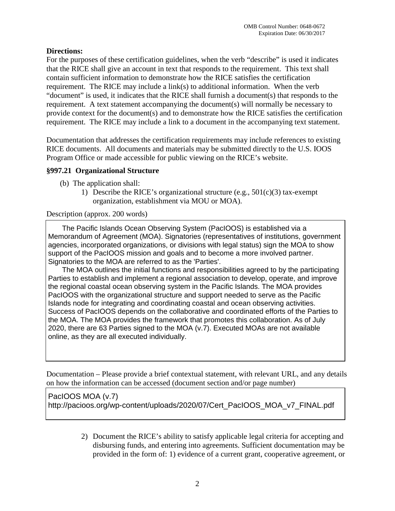## **Directions:**

For the purposes of these certification guidelines, when the verb "describe" is used it indicates that the RICE shall give an account in text that responds to the requirement. This text shall contain sufficient information to demonstrate how the RICE satisfies the certification requirement. The RICE may include a  $link(s)$  to additional information. When the verb "document" is used, it indicates that the RICE shall furnish a document(s) that responds to the requirement. A text statement accompanying the document(s) will normally be necessary to provide context for the document(s) and to demonstrate how the RICE satisfies the certification requirement. The RICE may include a link to a document in the accompanying text statement.

Documentation that addresses the certification requirements may include references to existing RICE documents. All documents and materials may be submitted directly to the U.S. IOOS Program Office or made accessible for public viewing on the RICE's website.

### **§997.21 Organizational Structure**

- (b)The application shall:
	- 1) Describe the RICE's organizational structure (e.g.,  $501(c)(3)$  tax-exempt organization, establishment via MOU or MOA).

Description (approx. 200 words)

 The Pacific Islands Ocean Observing System (PacIOOS) is established via a Memorandum of Agreement (MOA). Signatories (representatives of institutions, government agencies, incorporated organizations, or divisions with legal status) sign the MOA to show support of the PacIOOS mission and goals and to become a more involved partner. Signatories to the MOA are referred to as the 'Parties'.

 The MOA outlines the initial functions and responsibilities agreed to by the participating Parties to establish and implement a regional association to develop, operate, and improve the regional coastal ocean observing system in the Pacific Islands. The MOA provides PacIOOS with the organizational structure and support needed to serve as the Pacific Islands node for integrating and coordinating coastal and ocean observing activities. Success of PacIOOS depends on the collaborative and coordinated efforts of the Parties to the MOA. The MOA provides the framework that promotes this collaboration. As of July 2020, there are 63 Parties signed to the MOA (v.7). Executed MOAs are not available online, as they are all executed individually.

Documentation – Please provide a brief contextual statement, with relevant URL, and any details on how the information can be accessed (document section and/or page number)

PacIOOS MOA (v.7) http://pacioos.org/wp-content/uploads/2020/07/Cert\_PacIOOS\_MOA\_v7\_FINAL.pdf

> 2) Document the RICE's ability to satisfy applicable legal criteria for accepting and disbursing funds, and entering into agreements. Sufficient documentation may be provided in the form of: 1) evidence of a current grant, cooperative agreement, or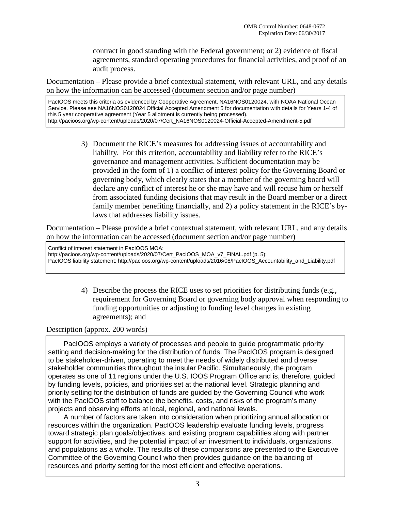contract in good standing with the Federal government; or 2) evidence of fiscal agreements, standard operating procedures for financial activities, and proof of an audit process.

Documentation – Please provide a brief contextual statement, with relevant URL, and any details on how the information can be accessed (document section and/or page number)

PacIOOS meets this criteria as evidenced by Cooperative Agreement, NA16NOS0120024, with NOAA National Ocean Service. Please see NA16NOS0120024 Official Accepted Amendment 5 for documentation with details for Years 1-4 of this 5 year cooperative agreement (Year 5 allotment is currently being processed). http://pacioos.org/wp-content/uploads/2020/07/Cert\_NA16NOS0120024-Official-Accepted-Amendment-5.pdf

> 3) Document the RICE's measures for addressing issues of accountability and liability. For this criterion, accountability and liability refer to the RICE's governance and management activities. Sufficient documentation may be provided in the form of 1) a conflict of interest policy for the Governing Board or governing body, which clearly states that a member of the governing board will declare any conflict of interest he or she may have and will recuse him or herself from associated funding decisions that may result in the Board member or a direct family member benefiting financially, and 2) a policy statement in the RICE's bylaws that addresses liability issues.

Documentation – Please provide a brief contextual statement, with relevant URL, and any details on how the information can be accessed (document section and/or page number)

Conflict of interest statement in PacIOOS MOA: http://pacioos.org/wp-content/uploads/2020/07/Cert\_PacIOOS\_MOA\_v7\_FINAL.pdf (p. 5); PacIOOS liability statement: http://pacioos.org/wp-content/uploads/2016/08/PacIOOS\_Accountability\_and\_Liability.pdf

> 4) Describe the process the RICE uses to set priorities for distributing funds (e.g., requirement for Governing Board or governing body approval when responding to funding opportunities or adjusting to funding level changes in existing agreements); and

Description (approx. 200 words)

 PacIOOS employs a variety of processes and people to guide programmatic priority setting and decision-making for the distribution of funds. The PacIOOS program is designed to be stakeholder-driven, operating to meet the needs of widely distributed and diverse stakeholder communities throughout the insular Pacific. Simultaneously, the program operates as one of 11 regions under the U.S. IOOS Program Office and is, therefore, guided by funding levels, policies, and priorities set at the national level. Strategic planning and priority setting for the distribution of funds are guided by the Governing Council who work with the PacIOOS staff to balance the benefits, costs, and risks of the program's many projects and observing efforts at local, regional, and national levels.

 A number of factors are taken into consideration when prioritizing annual allocation or resources within the organization. PacIOOS leadership evaluate funding levels, progress toward strategic plan goals/objectives, and existing program capabilities along with partner support for activities, and the potential impact of an investment to individuals, organizations, and populations as a whole. The results of these comparisons are presented to the Executive Committee of the Governing Council who then provides guidance on the balancing of resources and priority setting for the most efficient and effective operations.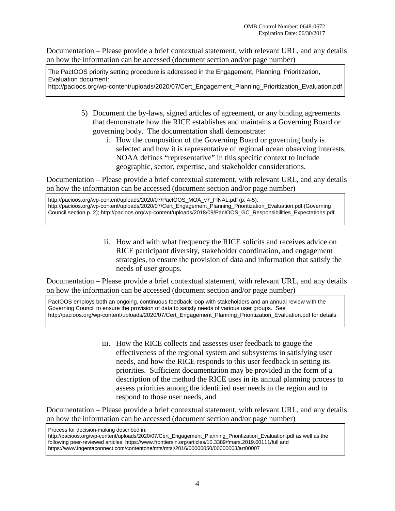The PacIOOS priority setting procedure is addressed in the Engagement, Planning, Prioritization, Evaluation document:

http://pacioos.org/wp-content/uploads/2020/07/Cert\_Engagement\_Planning\_Prioritization\_Evaluation.pdf

- 5) Document the by-laws, signed articles of agreement, or any binding agreements that demonstrate how the RICE establishes and maintains a Governing Board or governing body. The documentation shall demonstrate:
	- i. How the composition of the Governing Board or governing body is selected and how it is representative of regional ocean observing interests. NOAA defines "representative" in this specific context to include geographic, sector, expertise, and stakeholder considerations.

Documentation – Please provide a brief contextual statement, with relevant URL, and any details on how the information can be accessed (document section and/or page number)

http://pacioos.org/wp-content/uploads/2020/07/PacIOOS\_MOA\_v7\_FINAL.pdf (p. 4-5); http://pacioos.org/wp-content/uploads/2020/07/Cert\_Engagement\_Planning\_Prioritization\_Evaluation.pdf (Governing Council section p. 2); http://pacioos.org/wp-content/uploads/2018/09/PacIOOS\_GC\_Responsibilities\_Expectations.pdf

> ii. How and with what frequency the RICE solicits and receives advice on RICE participant diversity, stakeholder coordination, and engagement strategies, to ensure the provision of data and information that satisfy the needs of user groups.

Documentation – Please provide a brief contextual statement, with relevant URL, and any details on how the information can be accessed (document section and/or page number)

PacIOOS employs both an ongoing, continuous feedback loop with stakeholders and an annual review with the Governing Council to ensure the provision of data to satisfy needs of various user groups. See http://pacioos.org/wp-content/uploads/2020/07/Cert\_Engagement\_Planning\_Prioritization\_Evaluation.pdf for details.

> iii. How the RICE collects and assesses user feedback to gauge the effectiveness of the regional system and subsystems in satisfying user needs, and how the RICE responds to this user feedback in setting its priorities. Sufficient documentation may be provided in the form of a description of the method the RICE uses in its annual planning process to assess priorities among the identified user needs in the region and to respond to those user needs, and

Documentation – Please provide a brief contextual statement, with relevant URL, and any details on how the information can be accessed (document section and/or page number)

http://pacioos.org/wp-content/uploads/2020/07/Cert\_Engagement\_Planning\_Prioritization\_Evaluation.pdf as well as the following peer-reviewed articles: https://www.frontiersin.org/articles/10.3389/fmars.2019.00111/full and https://www.ingentaconnect.com/contentone/mts/mtsj/2016/00000050/00000003/art00007

Process for decision-making described in: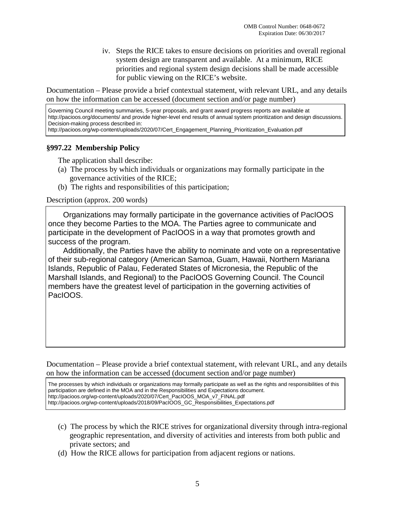iv. Steps the RICE takes to ensure decisions on priorities and overall regional system design are transparent and available. At a minimum, RICE priorities and regional system design decisions shall be made accessible for public viewing on the RICE's website.

Documentation – Please provide a brief contextual statement, with relevant URL, and any details on how the information can be accessed (document section and/or page number)

Governing Council meeting summaries, 5-year proposals, and grant award progress reports are available at http://pacioos.org/documents/ and provide higher-level end results of annual system prioritization and design discussions. Decision-making process described in: http://pacioos.org/wp-content/uploads/2020/07/Cert\_Engagement\_Planning\_Prioritization\_Evaluation.pdf

### **§997.22 Membership Policy**

The application shall describe:

- (a) The process by which individuals or organizations may formally participate in the governance activities of the RICE;
- (b) The rights and responsibilities of this participation;

Description (approx. 200 words)

 Organizations may formally participate in the governance activities of PacIOOS once they become Parties to the MOA. The Parties agree to communicate and participate in the development of PacIOOS in a way that promotes growth and success of the program.

 Additionally, the Parties have the ability to nominate and vote on a representative of their sub-regional category (American Samoa, Guam, Hawaii, Northern Mariana Islands, Republic of Palau, Federated States of Micronesia, the Republic of the Marshall Islands, and Regional) to the PacIOOS Governing Council. The Council members have the greatest level of participation in the governing activities of PacIOOS.

Documentation – Please provide a brief contextual statement, with relevant URL, and any details on how the information can be accessed (document section and/or page number)

The processes by which individuals or organizations may formally participate as well as the rights and responsibilities of this participation are defined in the MOA and in the Responsibilities and Expectations document. http://pacioos.org/wp-content/uploads/2020/07/Cert\_PacIOOS\_MOA\_v7\_FINAL.pdf http://pacioos.org/wp-content/uploads/2018/09/PacIOOS\_GC\_Responsibilities\_Expectations.pdf

- (c) The process by which the RICE strives for organizational diversity through intra-regional geographic representation, and diversity of activities and interests from both public and private sectors; and
- (d) How the RICE allows for participation from adjacent regions or nations.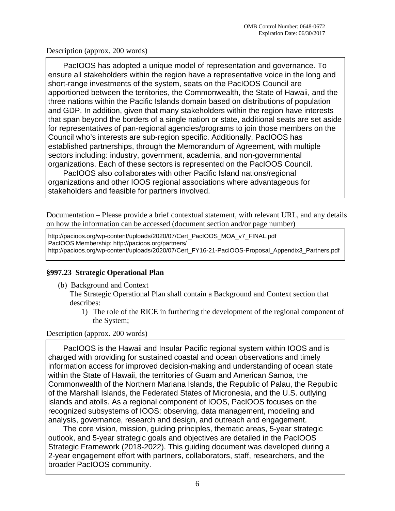PacIOOS has adopted a unique model of representation and governance. To ensure all stakeholders within the region have a representative voice in the long and short-range investments of the system, seats on the PacIOOS Council are apportioned between the territories, the Commonwealth, the State of Hawaii, and the three nations within the Pacific Islands domain based on distributions of population and GDP. In addition, given that many stakeholders within the region have interests that span beyond the borders of a single nation or state, additional seats are set aside for representatives of pan-regional agencies/programs to join those members on the Council who's interests are sub-region specific. Additionally, PacIOOS has established partnerships, through the Memorandum of Agreement, with multiple sectors including: industry, government, academia, and non-governmental organizations. Each of these sectors is represented on the PacIOOS Council.

 PacIOOS also collaborates with other Pacific Island nations/regional organizations and other IOOS regional associations where advantageous for stakeholders and feasible for partners involved.

Documentation – Please provide a brief contextual statement, with relevant URL, and any details on how the information can be accessed (document section and/or page number)

http://pacioos.org/wp-content/uploads/2020/07/Cert\_PacIOOS\_MOA\_v7\_FINAL.pdf PacIOOS Membership: http://pacioos.org/partners/ http://pacioos.org/wp-content/uploads/2020/07/Cert\_FY16-21-PacIOOS-Proposal\_Appendix3\_Partners.pdf

## **§997.23 Strategic Operational Plan**

(b) Background and Context

The Strategic Operational Plan shall contain a Background and Context section that describes:

1) The role of the RICE in furthering the development of the regional component of the System;

Description (approx. 200 words)

 PacIOOS is the Hawaii and Insular Pacific regional system within IOOS and is charged with providing for sustained coastal and ocean observations and timely information access for improved decision-making and understanding of ocean state within the State of Hawaii, the territories of Guam and American Samoa, the Commonwealth of the Northern Mariana Islands, the Republic of Palau, the Republic of the Marshall Islands, the Federated States of Micronesia, and the U.S. outlying islands and atolls. As a regional component of IOOS, PacIOOS focuses on the recognized subsystems of IOOS: observing, data management, modeling and analysis, governance, research and design, and outreach and engagement.

 The core vision, mission, guiding principles, thematic areas, 5-year strategic outlook, and 5-year strategic goals and objectives are detailed in the PacIOOS Strategic Framework (2018-2022). This guiding document was developed during a 2-year engagement effort with partners, collaborators, staff, researchers, and the broader PacIOOS community.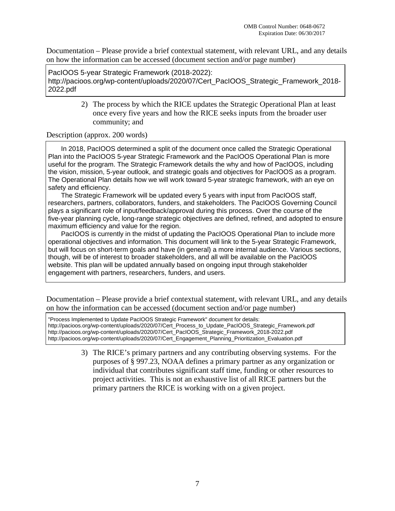PacIOOS 5-year Strategic Framework (2018-2022): http://pacioos.org/wp-content/uploads/2020/07/Cert\_PacIOOS\_Strategic\_Framework\_2018- 2022.pdf

> 2) The process by which the RICE updates the Strategic Operational Plan at least once every five years and how the RICE seeks inputs from the broader user community; and

#### Description (approx. 200 words)

 In 2018, PacIOOS determined a split of the document once called the Strategic Operational Plan into the PacIOOS 5-year Strategic Framework and the PacIOOS Operational Plan is more useful for the program. The Strategic Framework details the why and how of PacIOOS, including the vision, mission, 5-year outlook, and strategic goals and objectives for PacIOOS as a program. The Operational Plan details how we will work toward 5-year strategic framework, with an eye on safety and efficiency.

 The Strategic Framework will be updated every 5 years with input from PacIOOS staff, researchers, partners, collaborators, funders, and stakeholders. The PacIOOS Governing Council plays a significant role of input/feedback/approval during this process. Over the course of the five-year planning cycle, long-range strategic objectives are defined, refined, and adopted to ensure maximum efficiency and value for the region.

 PacIOOS is currently in the midst of updating the PacIOOS Operational Plan to include more operational objectives and information. This document will link to the 5-year Strategic Framework, but will focus on short-term goals and have (in general) a more internal audience. Various sections, though, will be of interest to broader stakeholders, and all will be available on the PacIOOS website. This plan will be updated annually based on ongoing input through stakeholder engagement with partners, researchers, funders, and users.

Documentation – Please provide a brief contextual statement, with relevant URL, and any details on how the information can be accessed (document section and/or page number)

"Process Implemented to Update PacIOOS Strategic Framework" document for details: http://pacioos.org/wp-content/uploads/2020/07/Cert\_Process\_to\_Update\_PacIOOS\_Strategic\_Framework.pdf http://pacioos.org/wp-content/uploads/2020/07/Cert\_PacIOOS\_Strategic\_Framework\_2018-2022.pdf http://pacioos.org/wp-content/uploads/2020/07/Cert\_Engagement\_Planning\_Prioritization\_Evaluation.pdf

> 3) The RICE's primary partners and any contributing observing systems. For the purposes of § 997.23, NOAA defines a primary partner as any organization or individual that contributes significant staff time, funding or other resources to project activities. This is not an exhaustive list of all RICE partners but the primary partners the RICE is working with on a given project.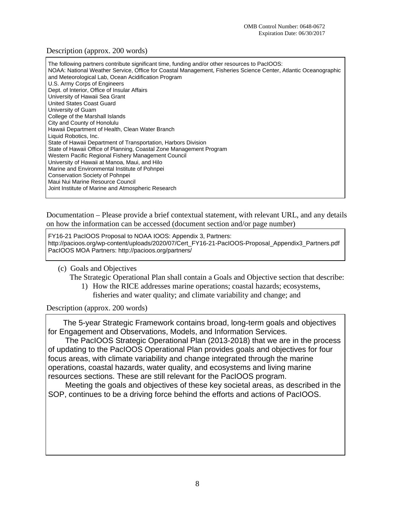| The following partners contribute significant time, funding and/or other resources to PacIOOS:<br>NOAA: National Weather Service, Office for Coastal Management, Fisheries Science Center, Atlantic Oceanographic<br>and Meteorological Lab, Ocean Acidification Program<br>U.S. Army Corps of Engineers<br>Dept. of Interior, Office of Insular Affairs<br>University of Hawaii Sea Grant<br>United States Coast Guard<br>University of Guam<br>College of the Marshall Islands<br>City and County of Honolulu<br>Hawaii Department of Health, Clean Water Branch<br>Liquid Robotics, Inc.<br>State of Hawaii Department of Transportation, Harbors Division<br>State of Hawaii Office of Planning, Coastal Zone Management Program<br>Western Pacific Regional Fishery Management Council<br>University of Hawaii at Manoa, Maui, and Hilo<br>Marine and Environmental Institute of Pohnpei<br>Conservation Society of Pohnpei<br>Maui Nui Marine Resource Council |
|----------------------------------------------------------------------------------------------------------------------------------------------------------------------------------------------------------------------------------------------------------------------------------------------------------------------------------------------------------------------------------------------------------------------------------------------------------------------------------------------------------------------------------------------------------------------------------------------------------------------------------------------------------------------------------------------------------------------------------------------------------------------------------------------------------------------------------------------------------------------------------------------------------------------------------------------------------------------|
| Joint Institute of Marine and Atmospheric Research                                                                                                                                                                                                                                                                                                                                                                                                                                                                                                                                                                                                                                                                                                                                                                                                                                                                                                                   |
|                                                                                                                                                                                                                                                                                                                                                                                                                                                                                                                                                                                                                                                                                                                                                                                                                                                                                                                                                                      |

Documentation – Please provide a brief contextual statement, with relevant URL, and any details on how the information can be accessed (document section and/or page number)

FY16-21 PacIOOS Proposal to NOAA IOOS: Appendix 3, Partners: http://pacioos.org/wp-content/uploads/2020/07/Cert\_FY16-21-PacIOOS-Proposal\_Appendix3\_Partners.pdf PacIOOS MOA Partners: http://pacioos.org/partners/

#### (c) Goals and Objectives

The Strategic Operational Plan shall contain a Goals and Objective section that describe:

- 1) How the RICE addresses marine operations; coastal hazards; ecosystems,
	- fisheries and water quality; and climate variability and change; and

Description (approx. 200 words)

 The 5-year Strategic Framework contains broad, long-term goals and objectives for Engagement and Observations, Models, and Information Services.

 The PacIOOS Strategic Operational Plan (2013-2018) that we are in the process of updating to the PacIOOS Operational Plan provides goals and objectives for four focus areas, with climate variability and change integrated through the marine operations, coastal hazards, water quality, and ecosystems and living marine resources sections. These are still relevant for the PacIOOS program.

 Meeting the goals and objectives of these key societal areas, as described in the SOP, continues to be a driving force behind the efforts and actions of PacIOOS.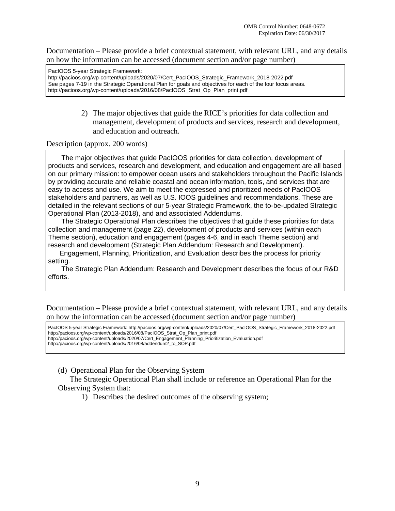PacIOOS 5-year Strategic Framework:

http://pacioos.org/wp-content/uploads/2020/07/Cert\_PacIOOS\_Strategic\_Framework\_2018-2022.pdf See pages 7-19 in the Strategic Operational Plan for goals and objectives for each of the four focus areas. http://pacioos.org/wp-content/uploads/2016/08/PacIOOS\_Strat\_Op\_Plan\_print.pdf

> 2) The major objectives that guide the RICE's priorities for data collection and management, development of products and services, research and development, and education and outreach.

Description (approx. 200 words)

 The major objectives that guide PacIOOS priorities for data collection, development of products and services, research and development, and education and engagement are all based on our primary mission: to empower ocean users and stakeholders throughout the Pacific Islands by providing accurate and reliable coastal and ocean information, tools, and services that are easy to access and use. We aim to meet the expressed and prioritized needs of PacIOOS stakeholders and partners, as well as U.S. IOOS guidelines and recommendations. These are detailed in the relevant sections of our 5-year Strategic Framework, the to-be-updated Strategic Operational Plan (2013-2018), and and associated Addendums.

 The Strategic Operational Plan describes the objectives that guide these priorities for data collection and management (page 22), development of products and services (within each Theme section), education and engagement (pages 4-6, and in each Theme section) and research and development (Strategic Plan Addendum: Research and Development).

 Engagement, Planning, Prioritization, and Evaluation describes the process for priority setting.

 The Strategic Plan Addendum: Research and Development describes the focus of our R&D efforts.

Documentation – Please provide a brief contextual statement, with relevant URL, and any details on how the information can be accessed (document section and/or page number)

PacIOOS 5-year Strategic Framework: http://pacioos.org/wp-content/uploads/2020/07/Cert\_PacIOOS\_Strategic\_Framework\_2018-2022.pdf http://pacioos.org/wp-content/uploads/2016/08/PacIOOS\_Strat\_Op\_Plan\_print.pdf http://pacioos.org/wp-content/uploads/2020/07/Cert\_Engagement\_Planning\_Prioritization\_Evaluation.pdf http://pacioos.org/wp-content/uploads/2016/08/addendum2\_to\_SOP.pdf

(d) Operational Plan for the Observing System

The Strategic Operational Plan shall include or reference an Operational Plan for the Observing System that:

1) Describes the desired outcomes of the observing system;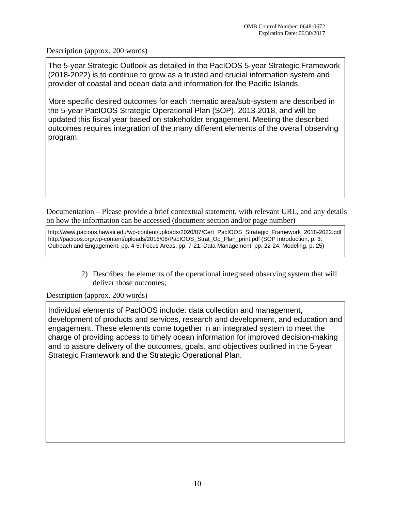The 5-year Strategic Outlook as detailed in the PacIOOS 5-year Strategic Framework (2018-2022) is to continue to grow as a trusted and crucial information system and provider of coastal and ocean data and information for the Pacific Islands.

More specific desired outcomes for each thematic area/sub-system are described in the 5-year PacIOOS Strategic Operational Plan (SOP), 2013-2018, and will be updated this fiscal year based on stakeholder engagement. Meeting the described outcomes requires integration of the many different elements of the overall observing program.

Documentation – Please provide a brief contextual statement, with relevant URL, and any details on how the information can be accessed (document section and/or page number)

http://www.pacioos.hawaii.edu/wp-content/uploads/2020/07/Cert\_PacIOOS\_Strategic\_Framework\_2018-2022.pdf http://pacioos.org/wp-content/uploads/2016/08/PacIOOS\_Strat\_Op\_Plan\_print.pdf (SOP Introduction, p. 3; Outreach and Engagement, pp. 4-5; Focus Areas, pp. 7-21; Data Management, pp. 22-24; Modeling, p. 25)

> 2) Describes the elements of the operational integrated observing system that will deliver those outcomes;

Description (approx. 200 words)

Individual elements of PacIOOS include: data collection and management, development of products and services, research and development, and education and engagement. These elements come together in an integrated system to meet the charge of providing access to timely ocean information for improved decision-making and to assure delivery of the outcomes, goals, and objectives outlined in the 5-year Strategic Framework and the Strategic Operational Plan.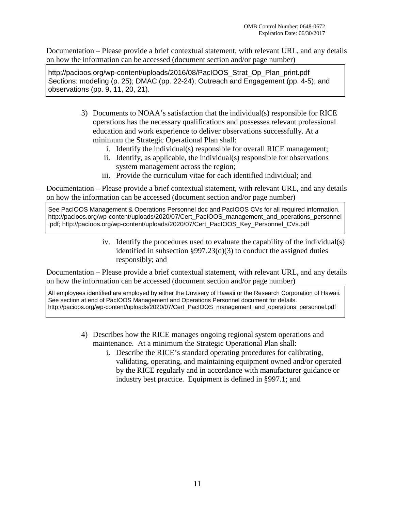Sections: modeling (p. 25); DMAC (pp. 22-24); Outreach and Engagement (pp. 4-5); and observations (pp. 9, 11, 20, 21).

- 3) Documents to NOAA's satisfaction that the individual(s) responsible for RICE operations has the necessary qualifications and possesses relevant professional education and work experience to deliver observations successfully. At a minimum the Strategic Operational Plan shall: http://pacioos.org/wp-content/uploads/2016/08/PacioOS\_Strat\_Op\_Plan\_print.pdf<br>11 http://pacions.content/uploads/2016/08/PacioOS\_Strat\_Op\_Plan\_print.pdf<br>besonations (pp. 9, 11, 20, 21).<br>
3) Documents to NOAA's satisfaction
	- i. Identify the individual(s) responsible for overall RICE management;
	- ii. Identify, as applicable, the individual(s) responsible for observations system management across the region;
	- iii. Provide the curriculum vitae for each identified individual; and

Documentation – Please provide a brief contextual statement, with relevant URL, and any details on how the information can be accessed (document section and/or page number)

See PacIOOS Management & Operations Personnel doc and PacIOOS CVs for all required information. http://pacioos.org/wp-content/uploads/2020/07/Cert\_PacIOOS\_management\_and\_operations\_personnel .pdf; http://pacioos.org/wp-content/uploads/2020/07/Cert\_PacIOOS\_Key\_Personnel\_CVs.pdf

> iv. Identify the procedures used to evaluate the capability of the individual(s) identified in subsection §997.23(d)(3) to conduct the assigned duties responsibly; and

Documentation – Please provide a brief contextual statement, with relevant URL, and any details on how the information can be accessed (document section and/or page number)

All employees identified are employed by either the Unvisery of Hawaii or the Research Corporation of Hawaii. See section at end of PacIOOS Management and Operations Personnel document for details. http://pacioos.org/wp-content/uploads/2020/07/Cert\_PacIOOS\_management\_and\_operations\_personnel.pdf

- 4) Describes how the RICE manages ongoing regional system operations and maintenance. At a minimum the Strategic Operational Plan shall:
	- i. Describe the RICE's standard operating procedures for calibrating, validating, operating, and maintaining equipment owned and/or operated by the RICE regularly and in accordance with manufacturer guidance or industry best practice. Equipment is defined in §997.1; and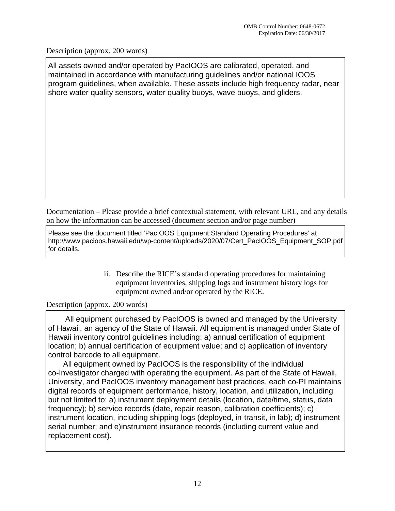All assets owned and/or operated by PacIOOS are calibrated, operated, and maintained in accordance with manufacturing guidelines and/or national IOOS program guidelines, when available. These assets include high frequency radar, near shore water quality sensors, water quality buoys, wave buoys, and gliders.

Documentation – Please provide a brief contextual statement, with relevant URL, and any details on how the information can be accessed (document section and/or page number)

Please see the document titled 'PacIOOS Equipment:Standard Operating Procedures' at http://www.pacioos.hawaii.edu/wp-content/uploads/2020/07/Cert\_PacIOOS\_Equipment\_SOP.pdf for details.

> ii. Describe the RICE's standard operating procedures for maintaining equipment inventories, shipping logs and instrument history logs for equipment owned and/or operated by the RICE.

## Description (approx. 200 words)

 All equipment purchased by PacIOOS is owned and managed by the University of Hawaii, an agency of the State of Hawaii. All equipment is managed under State of Hawaii inventory control guidelines including: a) annual certification of equipment location; b) annual certification of equipment value; and c) application of inventory control barcode to all equipment.

 All equipment owned by PacIOOS is the responsibility of the individual co-Investigator charged with operating the equipment. As part of the State of Hawaii, University, and PacIOOS inventory management best practices, each co-PI maintains digital records of equipment performance, history, location, and utilization, including but not limited to: a) instrument deployment details (location, date/time, status, data frequency); b) service records (date, repair reason, calibration coefficients); c) instrument location, including shipping logs (deployed, in-transit, in lab); d) instrument serial number; and e)instrument insurance records (including current value and replacement cost).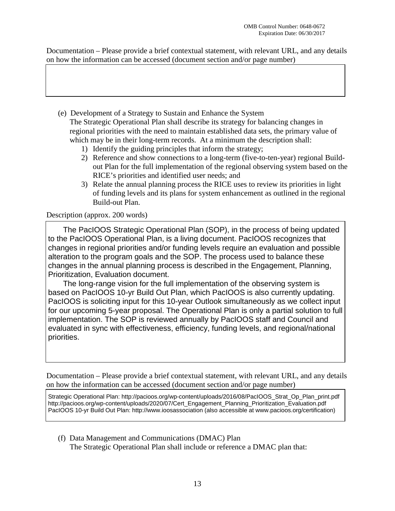- (e) Development of a Strategy to Sustain and Enhance the System The Strategic Operational Plan shall describe its strategy for balancing changes in regional priorities with the need to maintain established data sets, the primary value of which may be in their long-term records. At a minimum the description shall:
	- 1) Identify the guiding principles that inform the strategy;
	- 2) Reference and show connections to a long-term (five-to-ten-year) regional Buildout Plan for the full implementation of the regional observing system based on the RICE's priorities and identified user needs; and
	- 3) Relate the annual planning process the RICE uses to review its priorities in light of funding levels and its plans for system enhancement as outlined in the regional Build-out Plan.

## Description (approx. 200 words)

 The PacIOOS Strategic Operational Plan (SOP), in the process of being updated to the PacIOOS Operational Plan, is a living document. PacIOOS recognizes that changes in regional priorities and/or funding levels require an evaluation and possible alteration to the program goals and the SOP. The process used to balance these changes in the annual planning process is described in the Engagement, Planning, Prioritization, Evaluation document.

 The long-range vision for the full implementation of the observing system is based on PacIOOS 10-yr Build Out Plan, which PacIOOS is also currently updating. PacIOOS is soliciting input for this 10-year Outlook simultaneously as we collect input for our upcoming 5-year proposal. The Operational Plan is only a partial solution to full implementation. The SOP is reviewed annually by PacIOOS staff and Council and evaluated in sync with effectiveness, efficiency, funding levels, and regional/national priorities.

Documentation – Please provide a brief contextual statement, with relevant URL, and any details on how the information can be accessed (document section and/or page number)

Strategic Operational Plan: http://pacioos.org/wp-content/uploads/2016/08/PacIOOS\_Strat\_Op\_Plan\_print.pdf http://pacioos.org/wp-content/uploads/2020/07/Cert\_Engagement\_Planning\_Prioritization\_Evaluation.pdf PacIOOS 10-yr Build Out Plan: http://www.ioosassociation (also accessible at www.pacioos.org/certification)

(f) Data Management and Communications (DMAC) Plan The Strategic Operational Plan shall include or reference a DMAC plan that: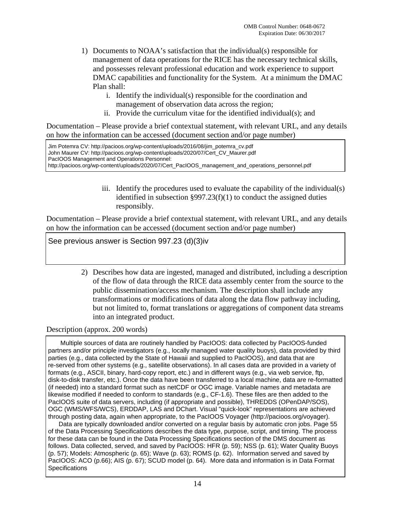- 1) Documents to NOAA's satisfaction that the individual(s) responsible for management of data operations for the RICE has the necessary technical skills, and possesses relevant professional education and work experience to support DMAC capabilities and functionality for the System. At a minimum the DMAC Plan shall:
	- i. Identify the individual(s) responsible for the coordination and management of observation data across the region;
	- ii. Provide the curriculum vitae for the identified individual(s); and

| Jim Potemra CV: http://pacioos.org/wp-content/uploads/2016/08/jim_potemra_cv.pdf                   |
|----------------------------------------------------------------------------------------------------|
| John Maurer CV: http://pacioos.org/wp-content/uploads/2020/07/Cert_CV_Maurer.pdf                   |
| PacIOOS Management and Operations Personnel:                                                       |
| http://pacioos.org/wp-content/uploads/2020/07/Cert_PacIOOS_management_and_operations_personnel.pdf |

iii. Identify the procedures used to evaluate the capability of the individual(s) identified in subsection §997.23(f)(1) to conduct the assigned duties responsibly.

Documentation – Please provide a brief contextual statement, with relevant URL, and any details on how the information can be accessed (document section and/or page number)

See previous answer is Section 997.23 (d)(3)iv

2) Describes how data are ingested, managed and distributed, including a description of the flow of data through the RICE data assembly center from the source to the public dissemination/access mechanism. The description shall include any transformations or modifications of data along the data flow pathway including, but not limited to, format translations or aggregations of component data streams into an integrated product.

Description (approx. 200 words)

Umpotental CV: http://pacioos.org/wp-content/uploads/2016/08/jim\_potema cv: http://pacioos.org/wp-content/uploads/2016/08/fim\_potema cv: Maurer.pdf PacifOS Menagement and Operations. Personnel:<br>
iii. Identify the procedur Multiple sources of data are routinely handled by PacIOOS: data collected by PacIOOS-funded partners and/or principle investigators (e.g., locally managed water quality buoys), data provided by third parties (e.g., data collected by the State of Hawaii and supplied to PacIOOS), and data that are re-served from other systems (e.g., satellite observations). In all cases data are provided in a variety of formats (e.g., ASCII, binary, hard-copy report, etc.) and in different ways (e.g., via web service, ftp, disk-to-disk transfer, etc.). Once the data have been transferred to a local machine, data are re-formatted (if needed) into a standard format such as netCDF or OGC image. Variable names and metadata are likewise modified if needed to conform to standards (e.g., CF-1.6). These files are then added to the PacIOOS suite of data servers, including (if appropriate and possible), THREDDS (OPenDAP/SOS), OGC (WMS/WFS/WCS), ERDDAP, LAS and DChart. Visual "quick-look" representations are achieved through posting data, again when appropriate, to the PacIOOS Voyager (http://pacioos.org/voyager).

 Data are typically downloaded and/or converted on a regular basis by automatic cron jobs. Page 55 of the Data Processing Specifications describes the data type, purpose, script, and timing. The process for these data can be found in the Data Processing Specifications section of the DMS document as follows. Data collected, served, and saved by PacIOOS: HFR (p. 59); NSS (p. 61); Water Quality Buoys (p. 57); Models: Atmospheric (p. 65); Wave (p. 63); ROMS (p. 62). Information served and saved by PacIOOS: ACO (p.66); AIS (p. 67); SCUD model (p. 64). More data and information is in Data Format **Specifications**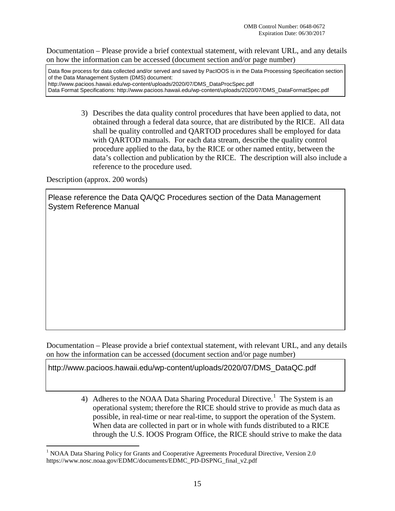Data flow process for data collected and/or served and saved by PacIOOS is in the Data Processing Specification section of the Data Management System (DMS) document: http://www.pacioos.hawaii.edu/wp-content/uploads/2020/07/DMS\_DataProcSpec.pdf Data Format Specifications: http://www.pacioos.hawaii.edu/wp-content/uploads/2020/07/DMS\_DataFormatSpec.pdf

> 3) Describes the data quality control procedures that have been applied to data, not obtained through a federal data source, that are distributed by the RICE. All data shall be quality controlled and QARTOD procedures shall be employed for data with QARTOD manuals. For each data stream, describe the quality control procedure applied to the data, by the RICE or other named entity, between the data's collection and publication by the RICE. The description will also include a reference to the procedure used.

Description (approx. 200 words)

 $\overline{a}$ 

Please reference the Data QA/QC Procedures section of the Data Management System Reference Manual

Documentation – Please provide a brief contextual statement, with relevant URL, and any details on how the information can be accessed (document section and/or page number)

http://www.pacioos.hawaii.edu/wp-content/uploads/2020/07/DMS\_DataQC.pdf

4) Adheres to the NOAA Data Sharing Procedural Directive.<sup>1</sup> The System is an operational system; therefore the RICE should strive to provide as much data as possible, in real-time or near real-time, to support the operation of the System. When data are collected in part or in whole with funds distributed to a RICE through the U.S. IOOS Program Office, the RICE should strive to make the data

<sup>&</sup>lt;sup>1</sup> NOAA Data Sharing Policy for Grants and Cooperative Agreements Procedural Directive, Version 2.0 https://www.nosc.noaa.gov/EDMC/documents/EDMC\_PD-DSPNG\_final\_v2.pdf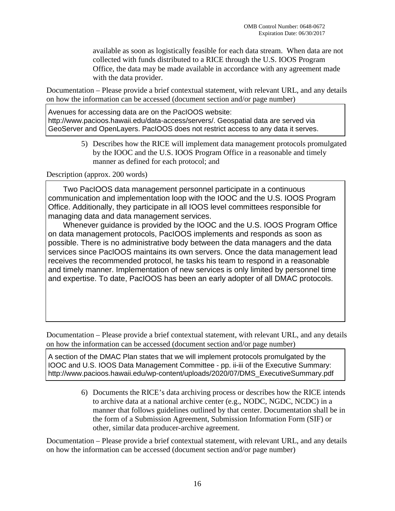available as soon as logistically feasible for each data stream. When data are not collected with funds distributed to a RICE through the U.S. IOOS Program Office, the data may be made available in accordance with any agreement made with the data provider.

Documentation – Please provide a brief contextual statement, with relevant URL, and any details on how the information can be accessed (document section and/or page number)

http://www.pacioos.hawaii.edu/data-access/servers/. Geospatial data are served via GeoServer and OpenLayers. PacIOOS does not restrict access to any data it serves.

> 5) Describes how the RICE will implement data management protocols promulgated by the IOOC and the U.S. IOOS Program Office in a reasonable and timely manner as defined for each protocol; and

### Description (approx. 200 words)

 Two PacIOOS data management personnel participate in a continuous communication and implementation loop with the IOOC and the U.S. IOOS Program Office. Additionally, they participate in all IOOS level committees responsible for managing data and data management services.

Avenues for accessing data are on the PacIOOS website:<br>
Arthp://www.pacioos.hawaii.edu/data-access/servers/. Geo<br>
GeoServer and OpenLayers. PacIOOS does not restrict a<br>
5) Describes how the RICE will implement data<br>
the IO Whenever guidance is provided by the IOOC and the U.S. IOOS Program Office on data management protocols, PacIOOS implements and responds as soon as possible. There is no administrative body between the data managers and the data services since PacIOOS maintains its own servers. Once the data management lead receives the recommended protocol, he tasks his team to respond in a reasonable and timely manner. Implementation of new services is only limited by personnel time and expertise. To date, PacIOOS has been an early adopter of all DMAC protocols.

Documentation – Please provide a brief contextual statement, with relevant URL, and any details on how the information can be accessed (document section and/or page number)

A section of the DMAC Plan states that we will implement protocols promulgated by the IOOC and U.S. IOOS Data Management Committee - pp. ii-iii of the Executive Summary: http://www.pacioos.hawaii.edu/wp-content/uploads/2020/07/DMS\_ExecutiveSummary.pdf

> 6) Documents the RICE's data archiving process or describes how the RICE intends to archive data at a national archive center (e.g., NODC, NGDC, NCDC) in a manner that follows guidelines outlined by that center. Documentation shall be in the form of a Submission Agreement, Submission Information Form (SIF) or other, similar data producer-archive agreement.

Documentation – Please provide a brief contextual statement, with relevant URL, and any details on how the information can be accessed (document section and/or page number)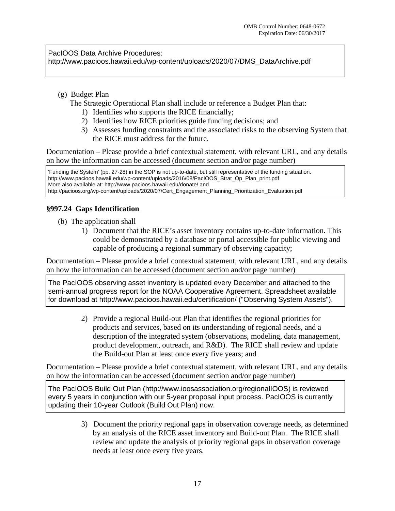http://www.pacioos.hawaii.edu/wp-content/uploads/2020/07/DMS\_DataArchive.pdf

(g) Budget Plan

The Strategic Operational Plan shall include or reference a Budget Plan that:

- 1) Identifies who supports the RICE financially;
- 2) Identifies how RICE priorities guide funding decisions; and
- 3) Assesses funding constraints and the associated risks to the observing System that the RICE must address for the future.

Documentation – Please provide a brief contextual statement, with relevant URL, and any details on how the information can be accessed (document section and/or page number)

'Funding the System' (pp. 27-28) in the SOP is not up-to-date, but still representative of the funding situation. http://www.pacioos.hawaii.edu/wp-content/uploads/2016/08/PacIOOS\_Strat\_Op\_Plan\_print.pdf More also available at: http://www.pacioos.hawaii.edu/donate/ and http://pacioos.org/wp-content/uploads/2020/07/Cert\_Engagement\_Planning\_Prioritization\_Evaluation.pdf

## **§997.24 Gaps Identification**

(b) The application shall

1) Document that the RICE's asset inventory contains up-to-date information. This could be demonstrated by a database or portal accessible for public viewing and capable of producing a regional summary of observing capacity;

Documentation – Please provide a brief contextual statement, with relevant URL, and any details on how the information can be accessed (document section and/or page number)

The PacIOOS observing asset inventory is updated every December and attached to the semi-annual progress report for the NOAA Cooperative Agreement. Spreadsheet available for download at http://www.pacioos.hawaii.edu/certification/ ("Observing System Assets").

2) Provide a regional Build-out Plan that identifies the regional priorities for products and services, based on its understanding of regional needs, and a description of the integrated system (observations, modeling, data management, product development, outreach, and R&D). The RICE shall review and update the Build-out Plan at least once every five years; and PacIOOS Data Archive Procedures:<br>
(g) Budget Plan<br>
(g) Budget Plan<br>
(g) Budget Plan<br>
The Strategic Operational Plan shall include<br>
1) Identifies who supports the RICE f<br>
2) Identifies who wapports the RICE f<br>
2) Identifie

Documentation – Please provide a brief contextual statement, with relevant URL, and any details on how the information can be accessed (document section and/or page number)

The PacIOOS Build Out Plan (http://www.ioosassociation.org/regionalIOOS) is reviewed every 5 years in conjunction with our 5-year proposal input process. PacIOOS is currently updating their 10-year Outlook (Build Out Plan) now.

> 3) Document the priority regional gaps in observation coverage needs, as determined by an analysis of the RICE asset inventory and Build-out Plan. The RICE shall review and update the analysis of priority regional gaps in observation coverage needs at least once every five years.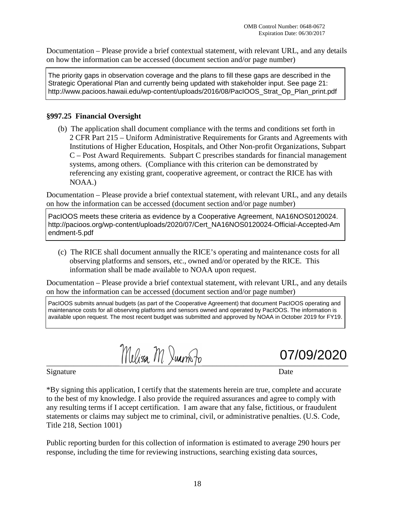Strategic Operational Plan and currently being updated with stakeholder input. See page 21: http://www.pacioos.hawaii.edu/wp-content/uploads/2016/08/PacIOOS\_Strat\_Op\_Plan\_print.pdf

### **§997.25 Financial Oversight**

(b) The application shall document compliance with the terms and conditions set forth in 2 CFR Part 215 – Uniform Administrative Requirements for Grants and Agreements with Institutions of Higher Education, Hospitals, and Other Non-profit Organizations, Subpart C – Post Award Requirements. Subpart C prescribes standards for financial management systems, among others. (Compliance with this criterion can be demonstrated by referencing any existing grant, cooperative agreement, or contract the RICE has with NOAA.) The priori gaps in observation coverage and the plans to fill these gaps are described in the plans to fill the plans to fill the plans to fill the plans to fill the plans to fill the plans to fill the plans to the plans

Documentation – Please provide a brief contextual statement, with relevant URL, and any details on how the information can be accessed (document section and/or page number)

PacIOOS meets these criteria as evidence by a Cooperative Agreement, NA16NOS0120024. http://pacioos.org/wp-content/uploads/2020/07/Cert\_NA16NOS0120024-Official-Accepted-Am endment-5.pdf

(c) The RICE shall document annually the RICE's operating and maintenance costs for all observing platforms and sensors, etc., owned and/or operated by the RICE. This information shall be made available to NOAA upon request.

Documentation – Please provide a brief contextual statement, with relevant URL, and any details on how the information can be accessed (document section and/or page number)

PacIOOS submits annual budgets (as part of the Cooperative Agreement) that document PacIOOS operating and maintenance costs for all observing platforms and sensors owned and operated by PacIOOS. The information is available upon request. The most recent budget was submitted and approved by NOAA in October 2019 for FY19.

Melisa M. Juan Jo

07/09/2020

Signature Date

\*By signing this application, I certify that the statements herein are true, complete and accurate to the best of my knowledge. I also provide the required assurances and agree to comply with any resulting terms if I accept certification. I am aware that any false, fictitious, or fraudulent statements or claims may subject me to criminal, civil, or administrative penalties. (U.S. Code, Title 218, Section 1001)

Public reporting burden for this collection of information is estimated to average 290 hours per response, including the time for reviewing instructions, searching existing data sources,